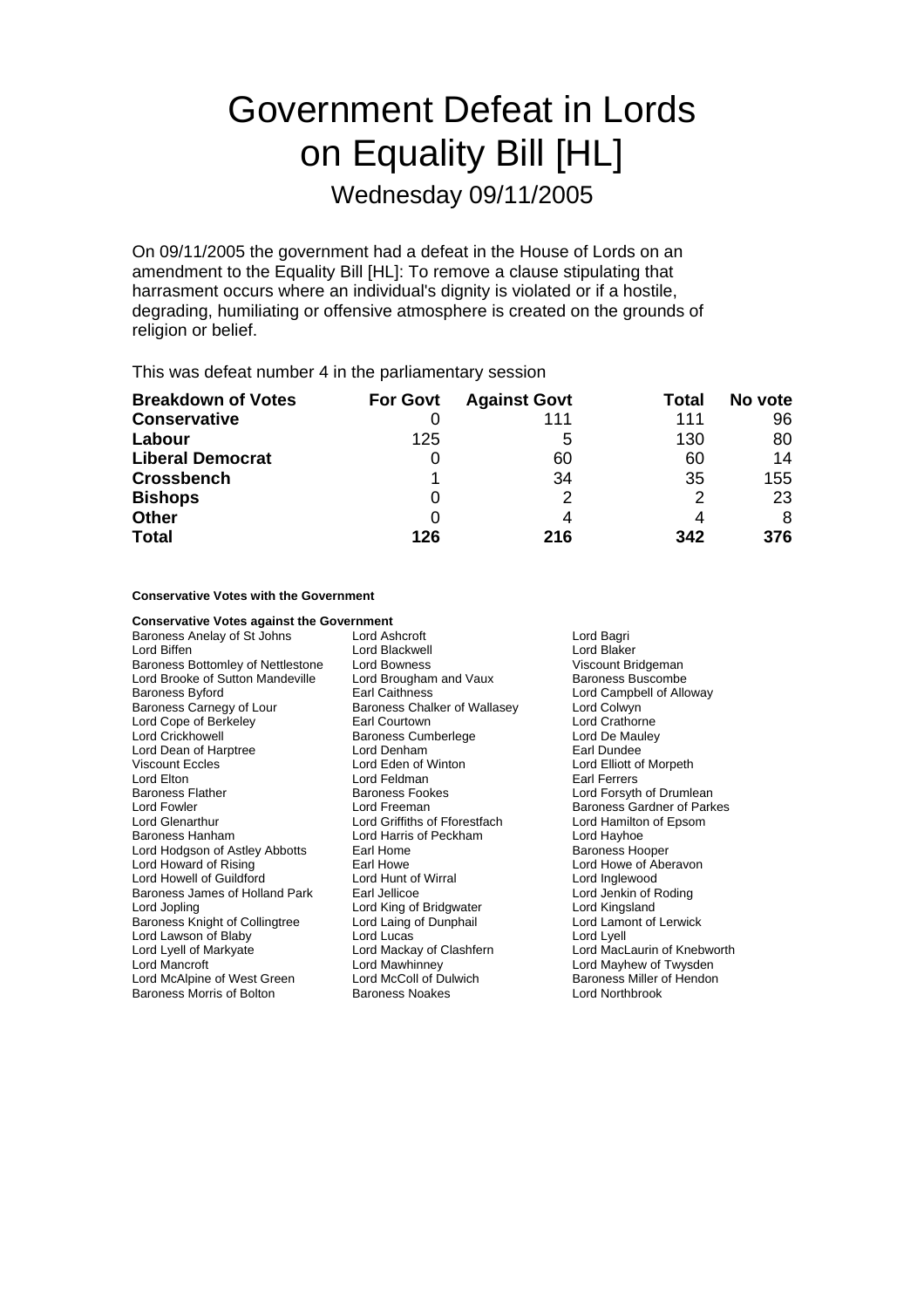# Government Defeat in Lords on Equality Bill [HL]

Wednesday 09/11/2005

On 09/11/2005 the government had a defeat in the House of Lords on an amendment to the Equality Bill [HL]: To remove a clause stipulating that harrasment occurs where an individual's dignity is violated or if a hostile, degrading, humiliating or offensive atmosphere is created on the grounds of religion or belief.

This was defeat number 4 in the parliamentary session

| <b>Breakdown of Votes</b> | <b>For Govt</b> | <b>Against Govt</b> | Total | No vote |
|---------------------------|-----------------|---------------------|-------|---------|
| <b>Conservative</b>       |                 | 111                 | 111   | 96      |
| Labour                    | 125             | 5                   | 130   | 80      |
| <b>Liberal Democrat</b>   | O               | 60                  | 60    | 14      |
| <b>Crossbench</b>         |                 | 34                  | 35    | 155     |
| <b>Bishops</b>            | 0               | 2                   | 2     | 23      |
| <b>Other</b>              | 0               |                     | 4     | 8       |
| <b>Total</b>              | 126             | 216                 | 342   | 376     |

**Conservative Votes with the Government**

| <b>Conservative Votes against the Government</b> |                                             |                             |  |
|--------------------------------------------------|---------------------------------------------|-----------------------------|--|
| Baroness Anelay of St Johns                      | Lord Ashcroft<br>Lord Bagri                 |                             |  |
| Lord Biffen                                      | Lord Blackwell                              | Lord Blaker                 |  |
| Baroness Bottomley of Nettlestone                | Viscount Bridgeman<br>Lord Bowness          |                             |  |
| Lord Brooke of Sutton Mandeville                 | Baroness Buscombe<br>Lord Brougham and Vaux |                             |  |
| <b>Baroness Byford</b>                           | <b>Earl Caithness</b>                       | Lord Campbell of Alloway    |  |
| Baroness Carnegy of Lour                         | Baroness Chalker of Wallasey                | Lord Colwyn                 |  |
| Lord Cope of Berkeley                            | Earl Courtown                               | Lord Crathorne              |  |
| <b>Lord Crickhowell</b>                          | <b>Baroness Cumberlege</b>                  | Lord De Mauley              |  |
| Lord Dean of Harptree                            | Lord Denham                                 | Earl Dundee                 |  |
| <b>Viscount Eccles</b>                           | Lord Eden of Winton                         | Lord Elliott of Morpeth     |  |
| Lord Elton                                       | Lord Feldman                                | <b>Farl Ferrers</b>         |  |
| <b>Baroness Flather</b>                          | <b>Baroness Fookes</b>                      | Lord Forsyth of Drumlean    |  |
| Lord Fowler                                      | Lord Freeman                                | Baroness Gardner of Parkes  |  |
| <b>Lord Glenarthur</b>                           | Lord Griffiths of Fforestfach               | Lord Hamilton of Epsom      |  |
| Baroness Hanham                                  | Lord Harris of Peckham                      | Lord Hayhoe                 |  |
| Lord Hodgson of Astley Abbotts                   | Earl Home                                   | <b>Baroness Hooper</b>      |  |
| Lord Howard of Rising                            | Earl Howe                                   | Lord Howe of Aberavon       |  |
| Lord Howell of Guildford                         | Lord Hunt of Wirral                         | Lord Inglewood              |  |
| Baroness James of Holland Park                   | Earl Jellicoe                               | Lord Jenkin of Roding       |  |
| Lord Jopling                                     | Lord King of Bridgwater                     | Lord Kingsland              |  |
| Baroness Knight of Collingtree                   | Lord Laing of Dunphail                      | Lord Lamont of Lerwick      |  |
| Lord Lawson of Blaby                             | Lord Lucas                                  | Lord Lyell                  |  |
| Lord Lyell of Markyate                           | Lord Mackay of Clashfern                    | Lord MacLaurin of Knebworth |  |
| Lord Mancroft                                    | Lord Mawhinney                              | Lord Mayhew of Twysden      |  |
| Lord McAlpine of West Green                      | Lord McColl of Dulwich                      | Baroness Miller of Hendon   |  |
| Baroness Morris of Bolton                        | Baroness Noakes                             | <b>Lord Northbrook</b>      |  |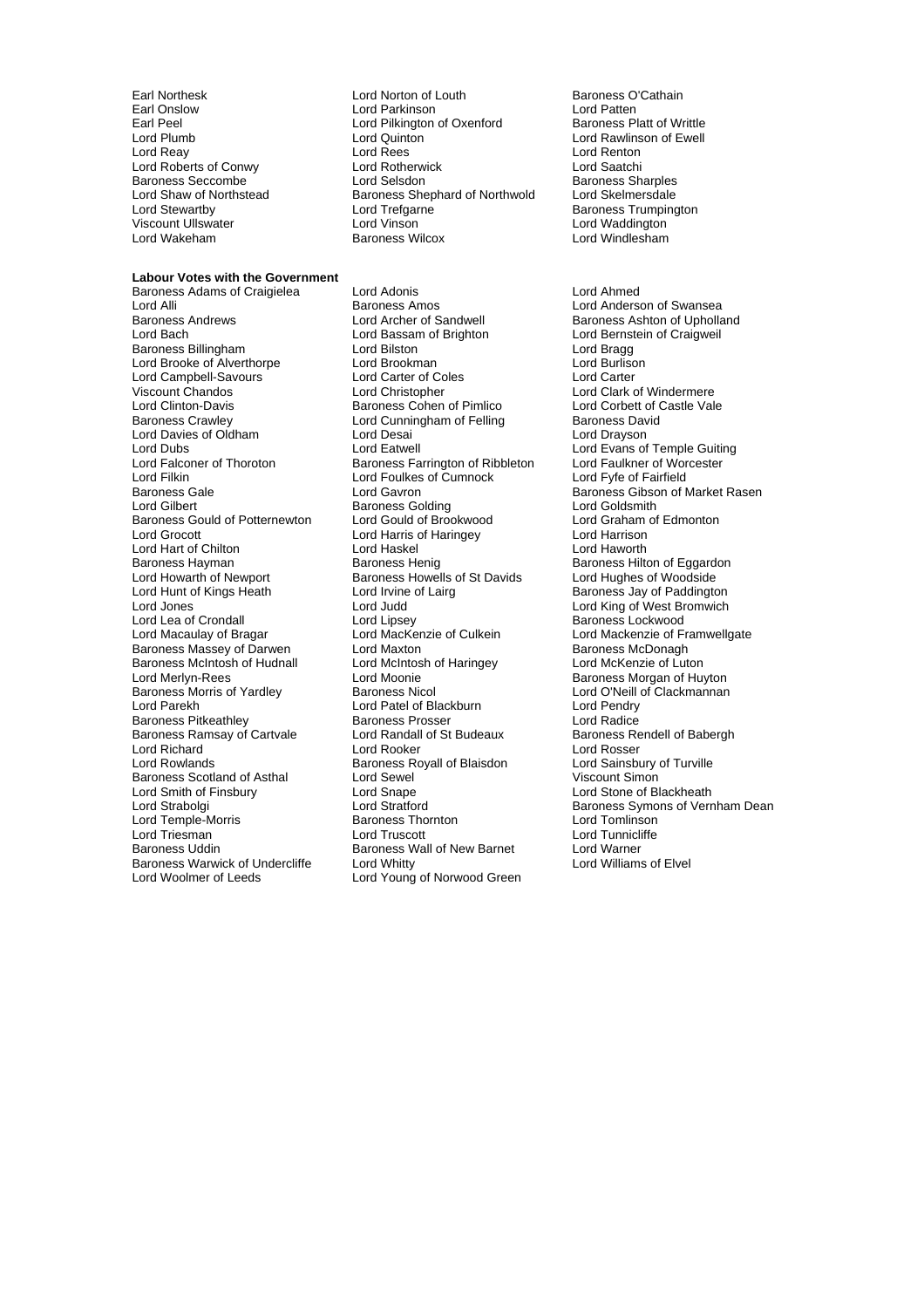Lord Roberts of Conwy<br>
Baroness Seccombe<br>
Lord Selsdon

## **Labour Votes with the Government**

Lord Alli **Communist Communist Baroness Amos** Cord Anderson of Swansea<br>Baroness Andrews **Lord Archer of Sandwell** Baroness Ashton of Upholla Lord Bach Lord Bassam of Brighton Lord Bernstein of Craigweil<br>
Baroness Billingham Lord Bilston Lord Bilston Lord Bragg Baroness Billingham Lord Bilston Lord Bragg Lord Brooke of Alverthorpe Lord Brookman<br>
Lord Campbell-Savours
Lord Carter of Coles Lord Campbell-Savours Lord Carter of Coles Lord Carter of Coles<br>Viscount Chandos Lord Carter Lord Christopher Lord Clark c Viscount Chandos Lord Christopher Lord Clark of Windermere Lord Clinton-Davis **Baroness Cohen of Pimlico**<br>Baroness Crawley **Baroness Control Corporation**<br>Lord Cunningham of Felling **Baroness David** Lord Davies of Oldham Lord Desai<br>
Lord Dubs Lord Eatwell Lord Dubs<br>
Lord Exans of Temple Guiting<br>
Lord Falconer of Thoroton 
Baroness Farrington of Ribbleton 
Lord Faulkner of Worcester Lord Falconer of Thoroton Baroness Farrington of Ribbleton Lord Faulkner of Worcester Corp.<br>Lord Filkin Lord Foulkes of Cumnock Lord Fyfe of Fairfield Lord Filkin Lord Foulkes of Cumnock Lord Fyfe of Fairfield Baroness Gould of Potternewton Lord Grocott Lord Harris of Haringey Lord Harrison Lord Hart of Chilton **Lord Haskel Cord Haskel** Lord Haworth Lord Haworth Baroness Hilton Baroness Hilton Baroness Hilton Baroness Hilton Baroness Hayman Baroness Henig Baroness Henig Baroness Hilton of Eggardon<br>
Baroness Howells of St Davids Lord Hughes of Woodside<br>
Lord Hughes of Woodside Lord Hunt of Kings Heath Lord Irvine of Lairg Baroness Jay of Paddington<br>Lord Jones Lord Judd Lord Judd Lord King of West Bromwich Lord Lea of Crondall Lord Lipsey<br>
Lord Macaulay of Bragar Lord MacKenzie of Culkein Baroness Massey of Darwen Lord Maxton and Baroness McDonagh<br>
Baroness McIntosh of Hudnall Lord McIntosh of Haringey Lord McKenzie of Luton Baroness McIntosh of Hudnall Lord McIntos<br>Lord Merlyn-Rees Lord Moonie Baroness Morris of Yardley Baroness Nicol<br>
Baroness Morris of Yardley Baroness Nicol Lord Patel of Blackburn Lord Pendry<br>
Lord Parekh Lord Patel of Blackburn Lord Pendry Baroness Pitkeathley **Baroness Prosser**<br>Baroness Ramsay of Cartyale **Baroness Prosser Bandall** of St Budeaux Baroness Ramsay of Cartvale Lord Randall of St Budeaux Baroness Rendell of Babergh Lord Richard **Lord Rooker** Lord Rooker **Lord Rooker** Lord Rosser<br>
Lord Rowlands **Consumers Baroness Royall of Blaisdon** Lord Sainsbury of Turville Baroness Scotland of Asthal Lord Sewel<br>
Lord Smith of Finsbury Lord Snape Lord Smith of Finsbury Lord Snape Lord Stone of Blackheath Lord Temple-Morris Baroness Thornton Lord Tomlinson Lord Triesman **Lord Truscott** Baroness Uddin **Baroness Wall of New Barnet** Lord Warner<br>Baroness Warwick of Undercliffe Lord Whitty **Baroness Warwick of Elvel** Baroness Warwick of Undercliffe Lord Whitty<br>
Lord Woolmer of Leeds
Lord Young

Earl Northesk **Lord Norton of Louth** Baroness O'Cathain<br>
Earl Onslow **Baroness O'Cathain**<br>
Lord Parkinson **Baroness** Cord Patten Earl Onslow **Example 2** Lord Parkinson **Lord Patten**<br>
Earl Peel **Notal Parkinson** Lord Pilkington of Oxenford Baroness Platt of Writtle Earl Peel<br>
Lord Plumb<br>
Lord Quinton Lord Plumb Lord Quinton Lord Rawlinson of Ewell Lord Rees Lord Renton<br>
Lord Rotherwick Lord Saatchi Baroness Seccombe Lord Selsdon Baroness Sharples<br>
Lord Shaw of Northstead Baroness Shapphard of Northwold Lord Skelmersdale Lord Shaw of Northstead Baroness Shephard of Northwold<br>Lord Stewartby Lord Trefgarne Lord Trefgarne **Communist Communist Communist Communist Communist Communist Communist Communist Communist Communist Communist Communist Communist Communist Communist Communist Communist Communist Communist Communist Commun** Viscount Ullswater Lord Vinson Lord Waddington Baroness Wilcox

Baroness Adams of Craigielea Lord Adonis Lord Ahmed Lord Cunningham of Felling Baroness David Cunningham of Felling Baroness David Cunningham Baroness Golding<br>
Lord Gould of Brookwood<br>
Lord Graham of Edmonton Baroness Howells of St Davids Lord Judd **Cones Lord King of West Bromwich**<br>
Lord Lipsev **Lord King Cones Lockwood** Lord Moonie **Communist Communist Communist Communist Communist Communist Communist Communist Communist Communist Communist Communist Communist Communist Communist Communist Communist Communist Communist Communist Communist** Lord Patel of Blackburn Lord Pendry<br>
Baroness Prosser Carel Lord Radice Exaroness Royall of Blaisdon Lord Sainsbury of Blaisdon<br>Lord Sewel Lord Simon Lord Young of Norwood Green

Baroness Ashton of Upholland Baroness Gale **Communist Constructs Care Constructs** Baroness Gibson of Market Rasen<br>
Baroness Golding<br>
Lord Goldsmith Lord Mackenzie of Framwellgate Lord Stratford **Lord Stratford** Baroness Symons of Vernham Dean<br>
Baroness Thornton **Baroness** Lord Tomlinson